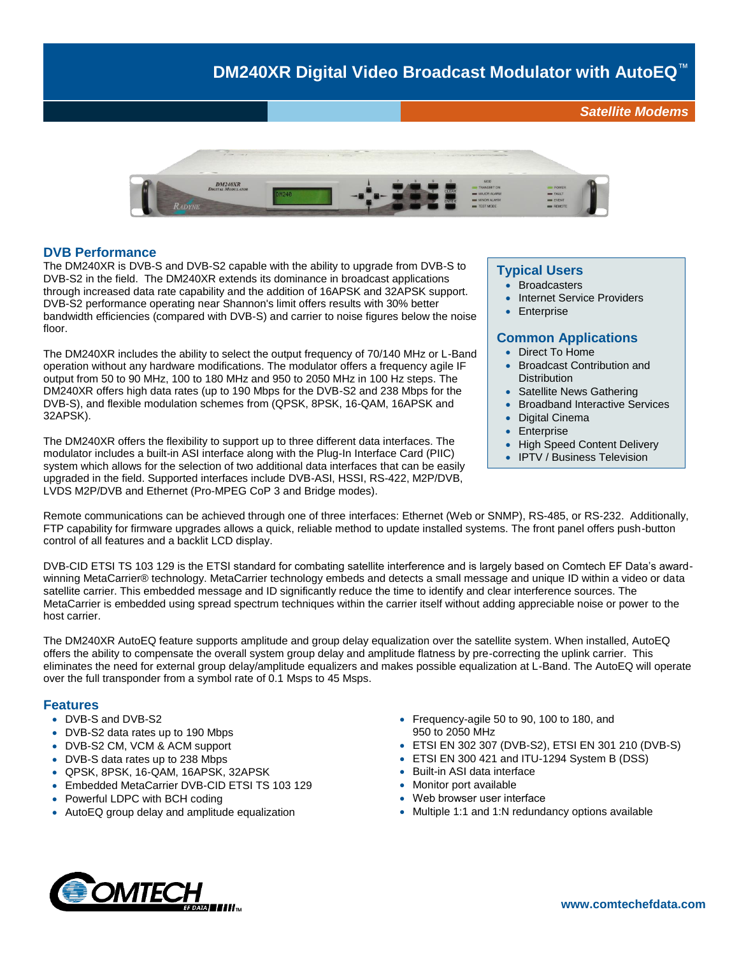# **DM240XR Digital Video Broadcast Modulator with AutoEQ**™

*Satellite Modems*



### **DVB Performance**

The DM240XR is DVB-S and DVB-S2 capable with the ability to upgrade from DVB-S to DVB-S2 in the field. The DM240XR extends its dominance in broadcast applications through increased data rate capability and the addition of 16APSK and 32APSK support. DVB-S2 performance operating near Shannon's limit offers results with 30% better bandwidth efficiencies (compared with DVB-S) and carrier to noise figures below the noise floor.

The DM240XR includes the ability to select the output frequency of 70/140 MHz or L-Band operation without any hardware modifications. The modulator offers a frequency agile IF output from 50 to 90 MHz, 100 to 180 MHz and 950 to 2050 MHz in 100 Hz steps. The DM240XR offers high data rates (up to 190 Mbps for the DVB-S2 and 238 Mbps for the DVB-S), and flexible modulation schemes from (QPSK, 8PSK, 16-QAM, 16APSK and 32APSK).

The DM240XR offers the flexibility to support up to three different data interfaces. The modulator includes a built-in ASI interface along with the Plug-In Interface Card (PIIC) system which allows for the selection of two additional data interfaces that can be easily upgraded in the field. Supported interfaces include DVB-ASI, HSSI, RS-422, M2P/DVB, LVDS M2P/DVB and Ethernet (Pro-MPEG CoP 3 and Bridge modes).

#### **Typical Users**

- **Broadcasters**
- Internet Service Providers
- **Enterprise**

### **Common Applications**

- Direct To Home
- Broadcast Contribution and **Distribution**
- Satellite News Gathering
- Broadband Interactive Services
- Digital Cinema
- **Enterprise**
- High Speed Content Delivery
- IPTV / Business Television

Remote communications can be achieved through one of three interfaces: Ethernet (Web or SNMP), RS-485, or RS-232. Additionally, FTP capability for firmware upgrades allows a quick, reliable method to update installed systems. The front panel offers push-button control of all features and a backlit LCD display.

DVB-CID ETSI TS 103 129 is the ETSI standard for combating satellite interference and is largely based on Comtech EF Data's awardwinning MetaCarrier® technology. MetaCarrier technology embeds and detects a small message and unique ID within a video or data satellite carrier. This embedded message and ID significantly reduce the time to identify and clear interference sources. The MetaCarrier is embedded using spread spectrum techniques within the carrier itself without adding appreciable noise or power to the host carrier.

The DM240XR AutoEQ feature supports amplitude and group delay equalization over the satellite system. When installed, AutoEQ offers the ability to compensate the overall system group delay and amplitude flatness by pre-correcting the uplink carrier. This eliminates the need for external group delay/amplitude equalizers and makes possible equalization at L-Band. The AutoEQ will operate over the full transponder from a symbol rate of 0.1 Msps to 45 Msps.

### **Features**

- DVB-S and DVB-S2
- DVB-S2 data rates up to 190 Mbps
- DVB-S2 CM, VCM & ACM support
- DVB-S data rates up to 238 Mbps
- QPSK, 8PSK, 16-QAM, 16APSK, 32APSK
- Embedded MetaCarrier DVB-CID ETSI TS 103 129
- Powerful LDPC with BCH coding
- AutoEQ group delay and amplitude equalization
- Frequency-agile 50 to 90, 100 to 180, and 950 to 2050 MHz
- ETSI EN 302 307 (DVB-S2), ETSI EN 301 210 (DVB-S)
- ETSI EN 300 421 and ITU-1294 System B (DSS)
- Built-in ASI data interface
- Monitor port available
- Web browser user interface
- Multiple 1:1 and 1:N redundancy options available

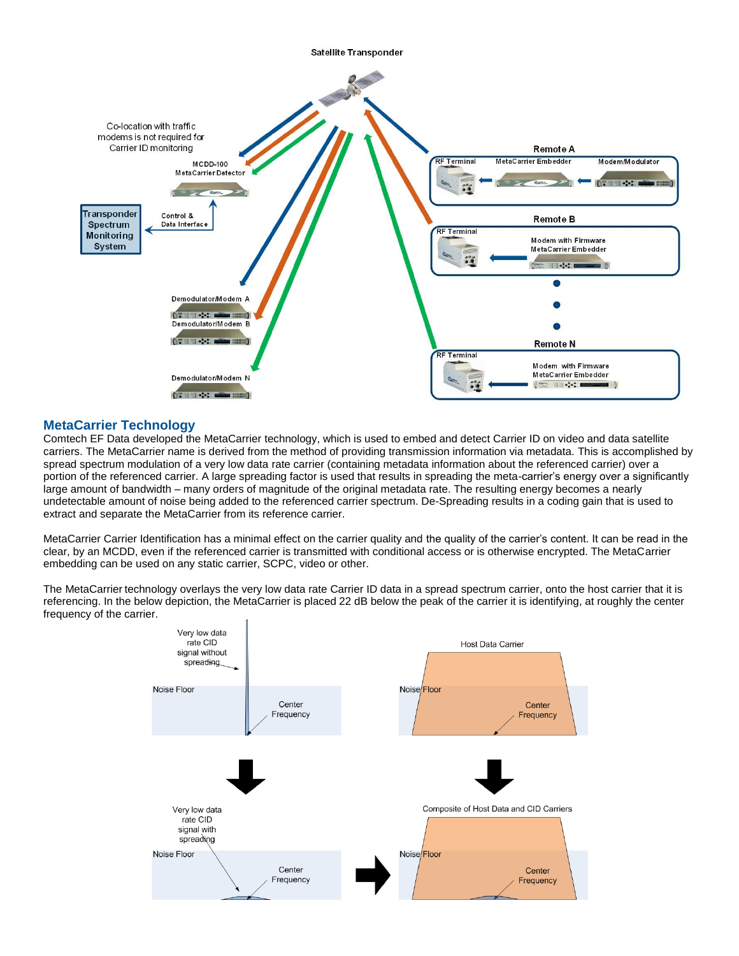

### **MetaCarrier Technology**

Comtech EF Data developed the MetaCarrier technology, which is used to embed and detect Carrier ID on video and data satellite carriers. The MetaCarrier name is derived from the method of providing transmission information via metadata. This is accomplished by spread spectrum modulation of a very low data rate carrier (containing metadata information about the referenced carrier) over a portion of the referenced carrier. A large spreading factor is used that results in spreading the meta-carrier's energy over a significantly large amount of bandwidth – many orders of magnitude of the original metadata rate. The resulting energy becomes a nearly undetectable amount of noise being added to the referenced carrier spectrum. De-Spreading results in a coding gain that is used to extract and separate the MetaCarrier from its reference carrier.

MetaCarrier Carrier Identification has a minimal effect on the carrier quality and the quality of the carrier's content. It can be read in the clear, by an MCDD, even if the referenced carrier is transmitted with conditional access or is otherwise encrypted. The MetaCarrier embedding can be used on any static carrier, SCPC, video or other.

The MetaCarrier technology overlays the very low data rate Carrier ID data in a spread spectrum carrier, onto the host carrier that it is referencing. In the below depiction, the MetaCarrier is placed 22 dB below the peak of the carrier it is identifying, at roughly the center frequency of the carrier.

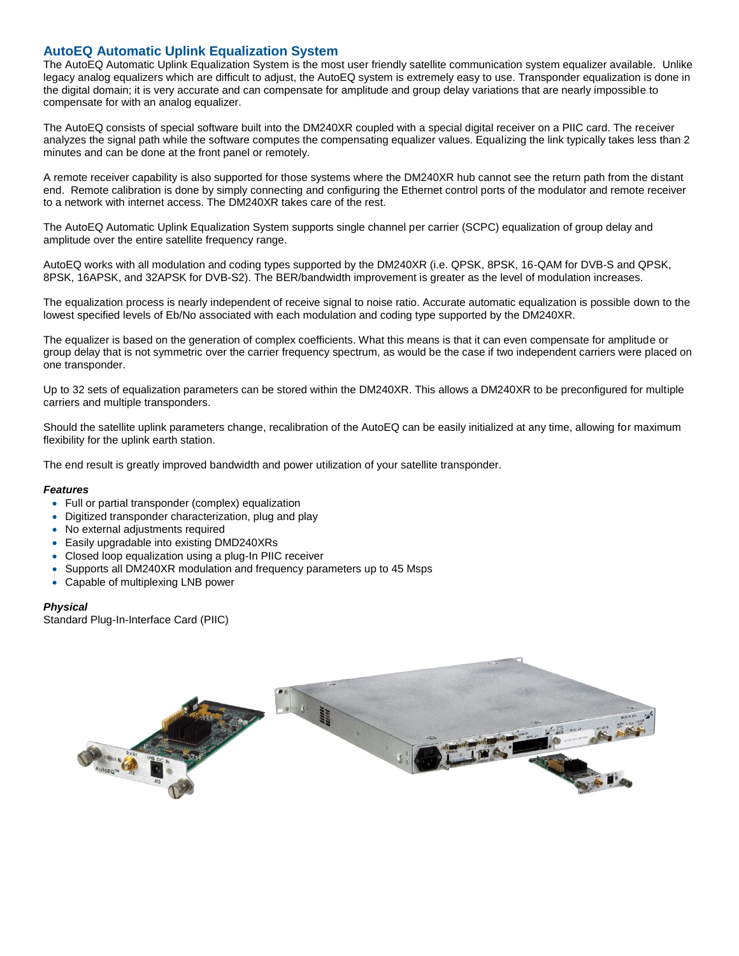### **AutoEQ Automatic Uplink Equalization System**

The AutoEQ Automatic Uplink Equalization System is the most user friendly satellite communication system equalizer available. Unlike legacy analog equalizers which are difficult to adjust, the AutoEQ system is extremely easy to use. Transponder equalization is done in the digital domain; it is very accurate and can compensate for amplitude and group delay variations that are nearly impossible to compensate for with an analog equalizer.

The AutoEQ consists of special software built into the DM240XR coupled with a special digital receiver on a PIIC card. The receiver analyzes the signal path while the software computes the compensating equalizer values. Equalizing the link typically takes less than 2 minutes and can be done at the front panel or remotely.

A remote receiver capability is also supported for those systems where the DM240XR hub cannot see the return path from the distant end. Remote calibration is done by simply connecting and configuring the Ethernet control ports of the modulator and remote receiver to a network with internet access. The DM240XR takes care of the rest.

The AutoEQ Automatic Uplink Equalization System supports single channel per carrier (SCPC) equalization of group delay and amplitude over the entire satellite frequency range.

AutoEQ works with all modulation and coding types supported by the DM240XR (i.e. QPSK, 8PSK, 16-QAM for DVB-S and QPSK, 8PSK, 16APSK, and 32APSK for DVB-S2). The BER/bandwidth improvement is greater as the level of modulation increases.

The equalization process is nearly independent of receive signal to noise ratio. Accurate automatic equalization is possible down to the lowest specified levels of Eb/No associated with each modulation and coding type supported by the DM240XR.

The equalizer is based on the generation of complex coefficients. What this means is that it can even compensate for amplitude or group delay that is not symmetric over the carrier frequency spectrum, as would be the case if two independent carriers were placed on one transponder.

Up to 32 sets of equalization parameters can be stored within the DM240XR. This allows a DM240XR to be preconfigured for multiple carriers and multiple transponders.

Should the satellite uplink parameters change, recalibration of the AutoEQ can be easily initialized at any time, allowing for maximum flexibility for the uplink earth station.

The end result is greatly improved bandwidth and power utilization of your satellite transponder.

### *Features*

- Full or partial transponder (complex) equalization
- Digitized transponder characterization, plug and play
- No external adjustments required
- Easily upgradable into existing DMD240XRs
- Closed loop equalization using a plug-In PIIC receiver
- Supports all DM240XR modulation and frequency parameters up to 45 Msps
- Capable of multiplexing LNB power

### *Physical*

Standard Plug-In-Interface Card (PIIC)

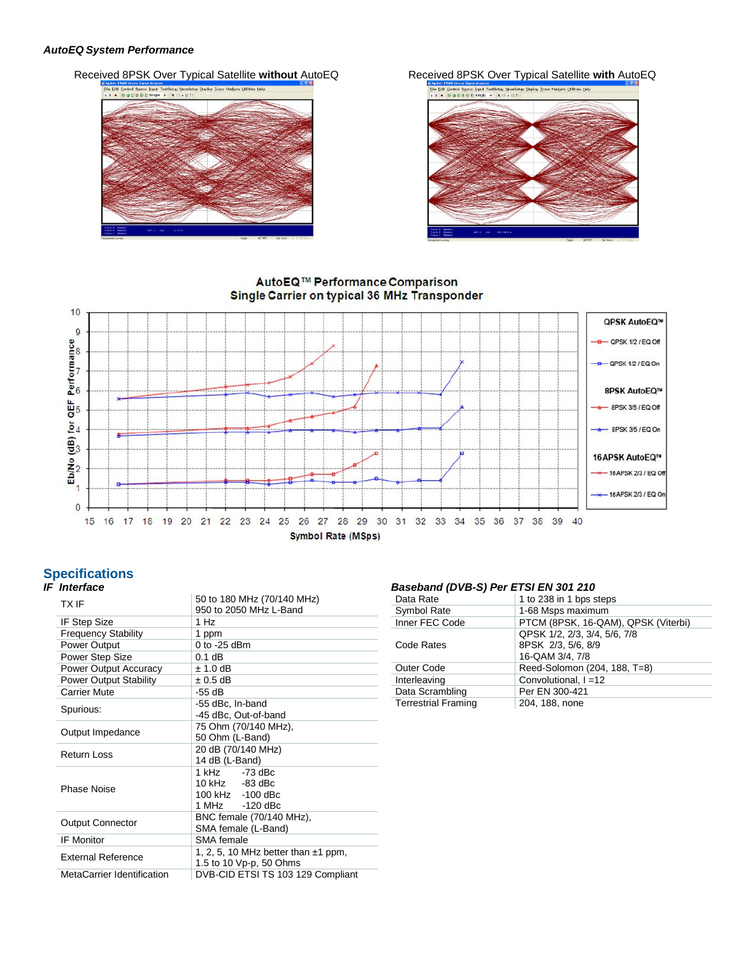### *AutoEQ System Performance*

Received 8PSK Over Typical Satellite without AutoEQ Received 8PSK Over Typical Satellite with AutoEQ





### AutoEQ™ Performance Comparison Single Carrier on typical 36 MHz Transponder



## **Specifications**

### *IF Interface*

| <b>TXIF</b>                                                                                      | 50 to 180 MHz (70/140 MHz)<br>950 to 2050 MHz L-Band |  |
|--------------------------------------------------------------------------------------------------|------------------------------------------------------|--|
| <b>IF Step Size</b>                                                                              | 1 Hz                                                 |  |
| <b>Frequency Stability</b>                                                                       | 1 ppm                                                |  |
| <b>Power Output</b>                                                                              | $0$ to -25 dBm                                       |  |
| Power Step Size                                                                                  | $0.1$ dB                                             |  |
| Power Output Accuracy                                                                            | $± 1.0$ dB                                           |  |
| <b>Power Output Stability</b>                                                                    | $\pm 0.5$ dB                                         |  |
| <b>Carrier Mute</b>                                                                              | -55 dB                                               |  |
| Spurious:                                                                                        | -55 dBc, In-band<br>-45 dBc, Out-of-band             |  |
| Output Impedance                                                                                 | 75 Ohm (70/140 MHz),<br>50 Ohm (L-Band)              |  |
| <b>Return Loss</b>                                                                               | 20 dB (70/140 MHz)<br>14 dB (L-Band)                 |  |
| <b>Phase Noise</b>                                                                               | 1 kHz -73 dBc<br>10 kHz -83 dBc<br>100 kHz -100 dBc  |  |
| <b>Output Connector</b>                                                                          | BNC female (70/140 MHz),<br>SMA female (L-Band)      |  |
| <b>IF Monitor</b>                                                                                | SMA female                                           |  |
| 1, 2, 5, 10 MHz better than $\pm$ 1 ppm,<br><b>External Reference</b><br>1.5 to 10 Vp-p, 50 Ohms |                                                      |  |
| MetaCarrier Identification                                                                       | DVB-CID ETSI TS 103 129 Compliant                    |  |

### *Baseband (DVB-S) Per ETSI EN 301 210*

| Data Rate                  | 1 to 238 in 1 bps steps                                               |
|----------------------------|-----------------------------------------------------------------------|
| Symbol Rate                | 1-68 Msps maximum                                                     |
| Inner FEC Code             | PTCM (8PSK, 16-QAM), QPSK (Viterbi)                                   |
| Code Rates                 | QPSK 1/2, 2/3, 3/4, 5/6, 7/8<br>8PSK 2/3, 5/6, 8/9<br>16-QAM 3/4, 7/8 |
| Outer Code                 | Reed-Solomon (204, 188, T=8)                                          |
| Interleaving               | Convolutional, I =12                                                  |
| Data Scrambling            | Per EN 300-421                                                        |
| <b>Terrestrial Framing</b> | 204, 188, none                                                        |